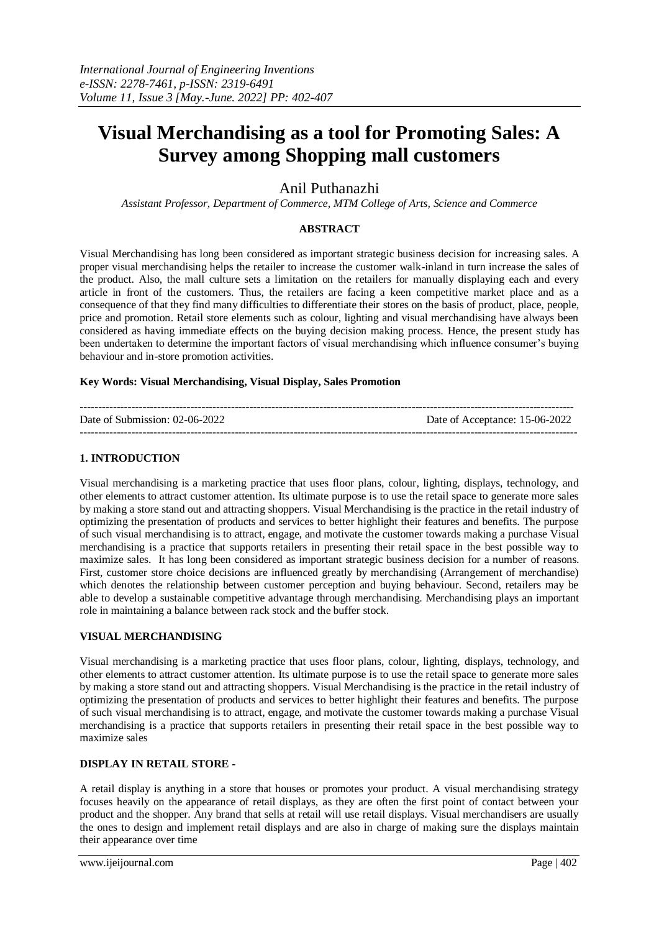# **Visual Merchandising as a tool for Promoting Sales: A Survey among Shopping mall customers**

Anil Puthanazhi

*Assistant Professor, Department of Commerce, MTM College of Arts, Science and Commerce*

## **ABSTRACT**

Visual Merchandising has long been considered as important strategic business decision for increasing sales. A proper visual merchandising helps the retailer to increase the customer walk-inland in turn increase the sales of the product. Also, the mall culture sets a limitation on the retailers for manually displaying each and every article in front of the customers. Thus, the retailers are facing a keen competitive market place and as a consequence of that they find many difficulties to differentiate their stores on the basis of product, place, people, price and promotion. Retail store elements such as colour, lighting and visual merchandising have always been considered as having immediate effects on the buying decision making process. Hence, the present study has been undertaken to determine the important factors of visual merchandising which influence consumer's buying behaviour and in-store promotion activities.

#### **Key Words: Visual Merchandising, Visual Display, Sales Promotion**

| Date of Submission: 02-06-2022 | Date of Acceptance: 15-06-2022 |
|--------------------------------|--------------------------------|
|                                |                                |

## **1. INTRODUCTION**

Visual merchandising is a marketing practice that uses floor plans, colour, lighting, displays, technology, and other elements to attract customer attention. Its ultimate purpose is to use the retail space to generate more sales by making a store stand out and attracting shoppers. Visual Merchandising is the practice in the retail industry of optimizing the presentation of products and services to better highlight their features and benefits. The purpose of such visual merchandising is to attract, engage, and motivate the customer towards making a purchase Visual merchandising is a practice that supports retailers in presenting their retail space in the best possible way to maximize sales. It has long been considered as important strategic business decision for a number of reasons. First, customer store choice decisions are influenced greatly by merchandising (Arrangement of merchandise) which denotes the relationship between customer perception and buying behaviour. Second, retailers may be able to develop a sustainable competitive advantage through merchandising. Merchandising plays an important role in maintaining a balance between rack stock and the buffer stock.

#### **VISUAL MERCHANDISING**

Visual merchandising is a marketing practice that uses floor plans, colour, lighting, displays, technology, and other elements to attract customer attention. Its ultimate purpose is to use the retail space to generate more sales by making a store stand out and attracting shoppers. Visual Merchandising is the practice in the retail industry of optimizing the presentation of products and services to better highlight their features and benefits. The purpose of such visual merchandising is to attract, engage, and motivate the customer towards making a purchase Visual merchandising is a practice that supports retailers in presenting their retail space in the best possible way to maximize sales

#### **DISPLAY IN RETAIL STORE -**

A retail display is anything in a store that houses or promotes your product. A visual merchandising strategy focuses heavily on the appearance of retail displays, as they are often the first point of contact between your product and the shopper. Any brand that sells at retail will use retail displays. Visual merchandisers are usually the ones to design and implement retail displays and are also in charge of making sure the displays maintain their appearance over time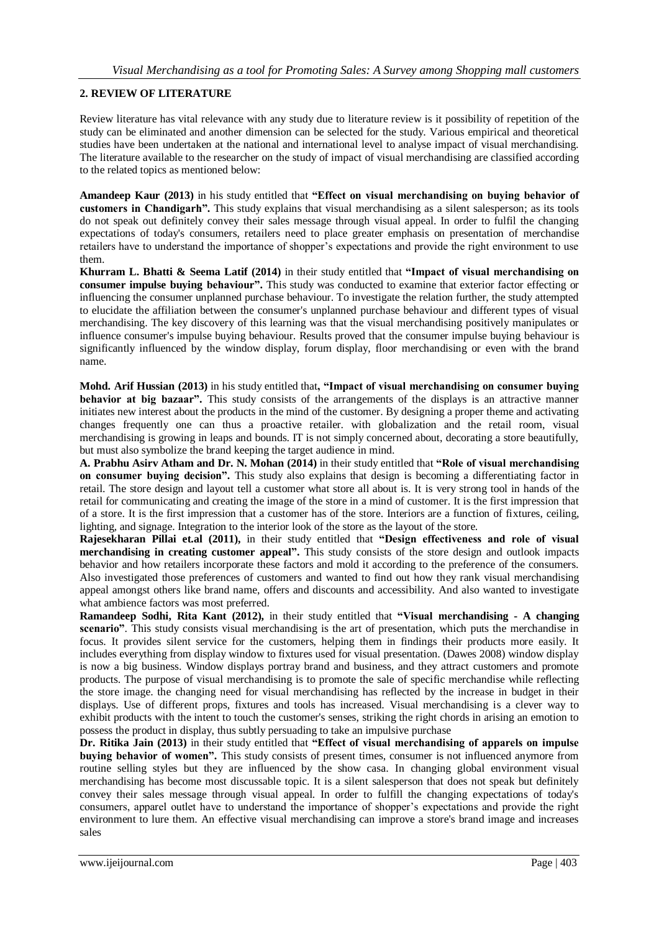## **2. REVIEW OF LITERATURE**

Review literature has vital relevance with any study due to literature review is it possibility of repetition of the study can be eliminated and another dimension can be selected for the study. Various empirical and theoretical studies have been undertaken at the national and international level to analyse impact of visual merchandising. The literature available to the researcher on the study of impact of visual merchandising are classified according to the related topics as mentioned below:

**Amandeep Kaur (2013)** in his study entitled that **"Effect on visual merchandising on buying behavior of customers in Chandigarh".** This study explains that visual merchandising as a silent salesperson; as its tools do not speak out definitely convey their sales message through visual appeal. In order to fulfil the changing expectations of today's consumers, retailers need to place greater emphasis on presentation of merchandise retailers have to understand the importance of shopper's expectations and provide the right environment to use them.

**Khurram L. Bhatti & Seema Latif (2014)** in their study entitled that **"Impact of visual merchandising on consumer impulse buying behaviour".** This study was conducted to examine that exterior factor effecting or influencing the consumer unplanned purchase behaviour. To investigate the relation further, the study attempted to elucidate the affiliation between the consumer's unplanned purchase behaviour and different types of visual merchandising. The key discovery of this learning was that the visual merchandising positively manipulates or influence consumer's impulse buying behaviour. Results proved that the consumer impulse buying behaviour is significantly influenced by the window display, forum display, floor merchandising or even with the brand name.

**Mohd. Arif Hussian (2013)** in his study entitled that**, "Impact of visual merchandising on consumer buying behavior at big bazaar".** This study consists of the arrangements of the displays is an attractive manner initiates new interest about the products in the mind of the customer. By designing a proper theme and activating changes frequently one can thus a proactive retailer. with globalization and the retail room, visual merchandising is growing in leaps and bounds. IT is not simply concerned about, decorating a store beautifully, but must also symbolize the brand keeping the target audience in mind.

**A. Prabhu Asirv Atham and Dr. N. Mohan (2014)** in their study entitled that **"Role of visual merchandising on consumer buying decision".** This study also explains that design is becoming a differentiating factor in retail. The store design and layout tell a customer what store all about is. It is very strong tool in hands of the retail for communicating and creating the image of the store in a mind of customer. It is the first impression that of a store. It is the first impression that a customer has of the store. Interiors are a function of fixtures, ceiling, lighting, and signage. Integration to the interior look of the store as the layout of the store.

**Rajesekharan Pillai et.al (2011),** in their study entitled that **"Design effectiveness and role of visual merchandising in creating customer appeal".** This study consists of the store design and outlook impacts behavior and how retailers incorporate these factors and mold it according to the preference of the consumers. Also investigated those preferences of customers and wanted to find out how they rank visual merchandising appeal amongst others like brand name, offers and discounts and accessibility. And also wanted to investigate what ambience factors was most preferred.

**Ramandeep Sodhi, Rita Kant (2012),** in their study entitled that **"Visual merchandising - A changing scenario"**. This study consists visual merchandising is the art of presentation, which puts the merchandise in focus. It provides silent service for the customers, helping them in findings their products more easily. It includes everything from display window to fixtures used for visual presentation. (Dawes 2008) window display is now a big business. Window displays portray brand and business, and they attract customers and promote products. The purpose of visual merchandising is to promote the sale of specific merchandise while reflecting the store image. the changing need for visual merchandising has reflected by the increase in budget in their displays. Use of different props, fixtures and tools has increased. Visual merchandising is a clever way to exhibit products with the intent to touch the customer's senses, striking the right chords in arising an emotion to possess the product in display, thus subtly persuading to take an impulsive purchase

**Dr. Ritika Jain (2013)** in their study entitled that **"Effect of visual merchandising of apparels on impulse buying behavior of women".** This study consists of present times, consumer is not influenced anymore from routine selling styles but they are influenced by the show casa. In changing global environment visual merchandising has become most discussable topic. It is a silent salesperson that does not speak but definitely convey their sales message through visual appeal. In order to fulfill the changing expectations of today's consumers, apparel outlet have to understand the importance of shopper's expectations and provide the right environment to lure them. An effective visual merchandising can improve a store's brand image and increases sales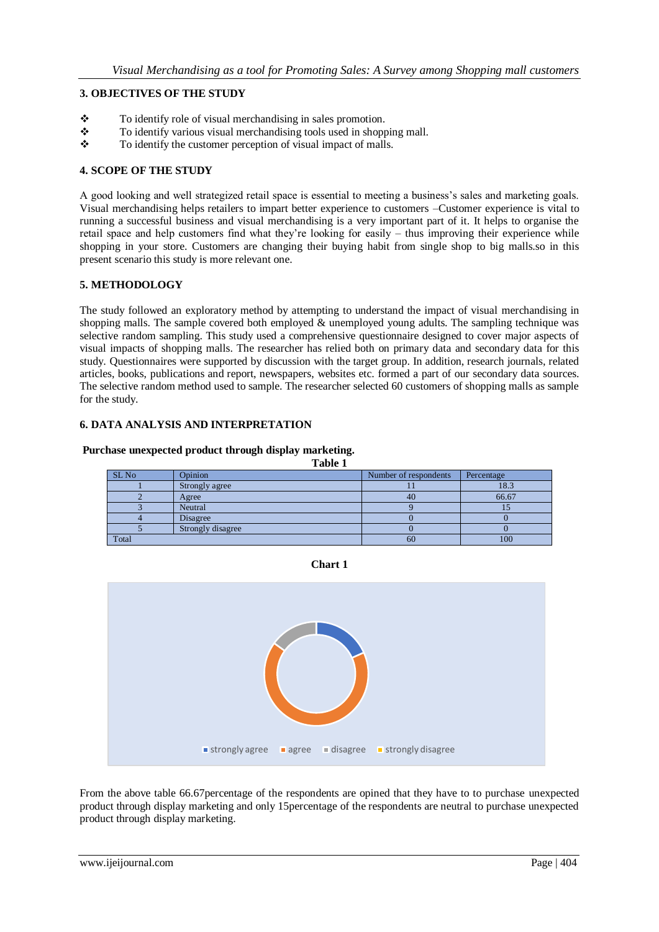# **3. OBJECTIVES OF THE STUDY**

- $\bullet$  To identify role of visual merchandising in sales promotion.<br> $\bullet$  To identify various visual merchandising tools used in shop
- $\bullet$  To identify various visual merchandising tools used in shopping mall.<br> $\bullet$  To identify the customer perception of visual impact of malls
- To identify the customer perception of visual impact of malls.

## **4. SCOPE OF THE STUDY**

A good looking and well strategized retail space is essential to meeting a business's sales and marketing goals. Visual merchandising helps retailers to impart better experience to customers –Customer experience is vital to running a successful business and visual merchandising is a very important part of it. It helps to organise the retail space and help customers find what they're looking for easily – thus improving their experience while shopping in your store. Customers are changing their buying habit from single shop to big malls.so in this present scenario this study is more relevant one.

## **5. METHODOLOGY**

The study followed an exploratory method by attempting to understand the impact of visual merchandising in shopping malls. The sample covered both employed  $\&$  unemployed young adults. The sampling technique was selective random sampling. This study used a comprehensive questionnaire designed to cover major aspects of visual impacts of shopping malls. The researcher has relied both on primary data and secondary data for this study. Questionnaires were supported by discussion with the target group. In addition, research journals, related articles, books, publications and report, newspapers, websites etc. formed a part of our secondary data sources. The selective random method used to sample. The researcher selected 60 customers of shopping malls as sample for the study.

## **6. DATA ANALYSIS AND INTERPRETATION**

#### **Purchase unexpected product through display marketing.**

| таше т           |                   |                       |            |
|------------------|-------------------|-----------------------|------------|
| SL <sub>No</sub> | Opinion           | Number of respondents | Percentage |
|                  | Strongly agree    |                       | 18.3       |
|                  | Agree             | 40                    | 66.67      |
|                  | Neutral           |                       |            |
|                  | Disagree          |                       |            |
|                  | Strongly disagree |                       |            |
| Total            |                   | 60                    | 100        |

**Table 1**

**Chart 1**



From the above table 66.67percentage of the respondents are opined that they have to to purchase unexpected product through display marketing and only 15percentage of the respondents are neutral to purchase unexpected product through display marketing.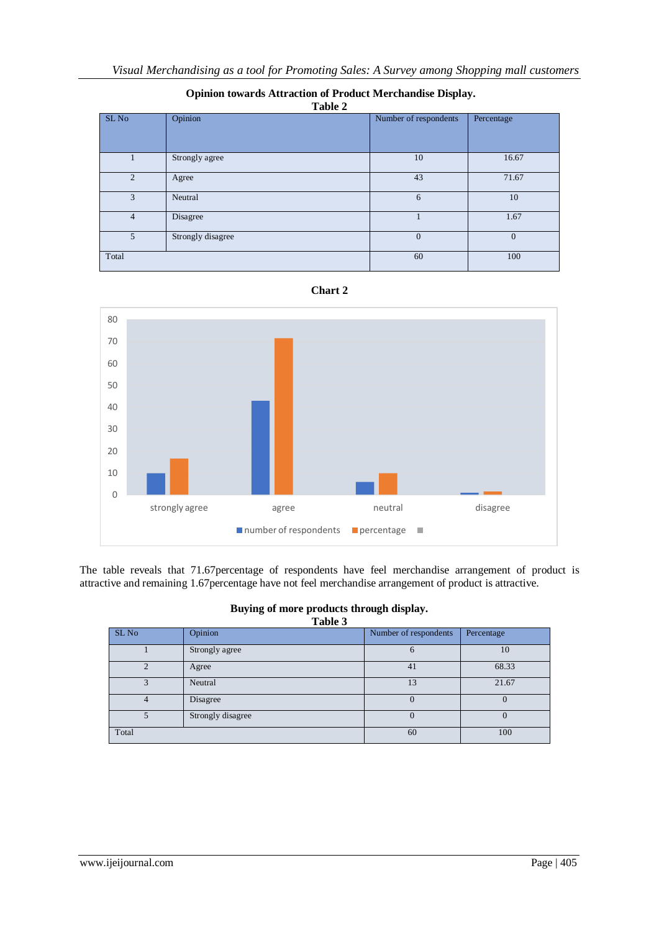| Table 2          |                   |                       |            |
|------------------|-------------------|-----------------------|------------|
| SL <sub>No</sub> | Opinion           | Number of respondents | Percentage |
|                  |                   |                       |            |
|                  | Strongly agree    | 10                    | 16.67      |
| $\overline{2}$   | Agree             | 43                    | 71.67      |
| 3                | Neutral           | 6                     | 10         |
| $\overline{4}$   | Disagree          |                       | 1.67       |
| 5                | Strongly disagree | $\Omega$              | $\Omega$   |
| Total            |                   | 60                    | 100        |







The table reveals that 71.67percentage of respondents have feel merchandise arrangement of product is attractive and remaining 1.67percentage have not feel merchandise arrangement of product is attractive.

|         | Buying of more products through display. |
|---------|------------------------------------------|
| Table 3 |                                          |

| <b>Lavit</b> J   |                   |                       |            |
|------------------|-------------------|-----------------------|------------|
| SL <sub>No</sub> | Opinion           | Number of respondents | Percentage |
|                  | Strongly agree    | O                     | 10         |
| C                | Agree             | 41                    | 68.33      |
|                  | Neutral           | 13                    | 21.67      |
| 4                | Disagree          | O                     |            |
|                  | Strongly disagree | 0                     |            |
| Total            |                   | 60                    | 100        |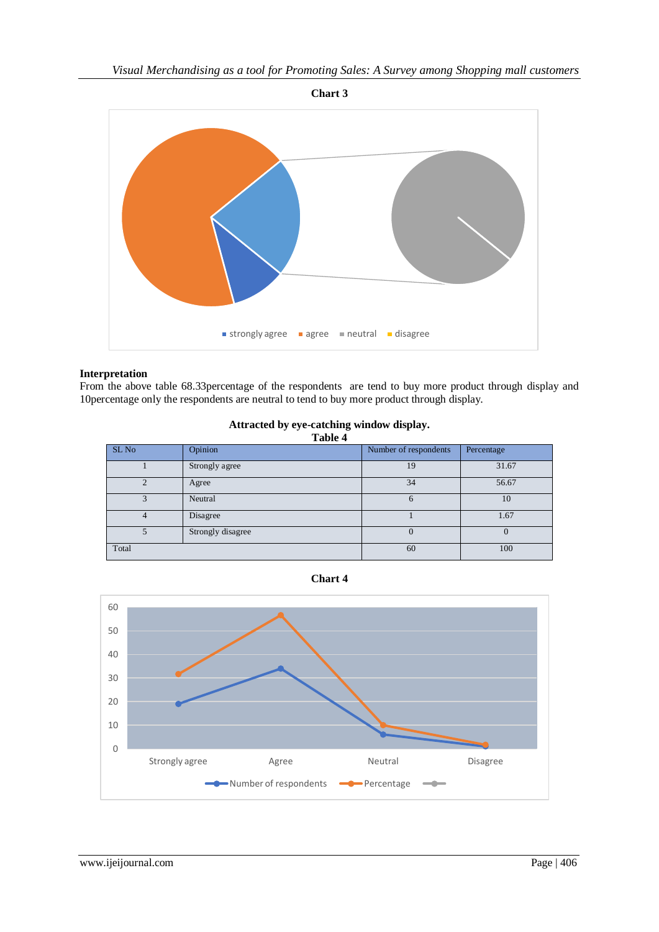

## **Interpretation**

From the above table 68.33percentage of the respondents are tend to buy more product through display and 10percentage only the respondents are neutral to tend to buy more product through display.

| Attracted by eye-catching window display. |  |
|-------------------------------------------|--|
| Table 4                                   |  |

| 1 avit 4         |                   |                       |            |
|------------------|-------------------|-----------------------|------------|
| SL <sub>No</sub> | Opinion           | Number of respondents | Percentage |
|                  | Strongly agree    | 19                    | 31.67      |
|                  | Agree             | 34                    | 56.67      |
| 3                | Neutral           | $\mathsf{\Omega}$     | 10         |
| 4                | Disagree          |                       | 1.67       |
|                  | Strongly disagree | $\theta$              |            |
| Total            |                   | 60                    | 100        |



**Chart 4**